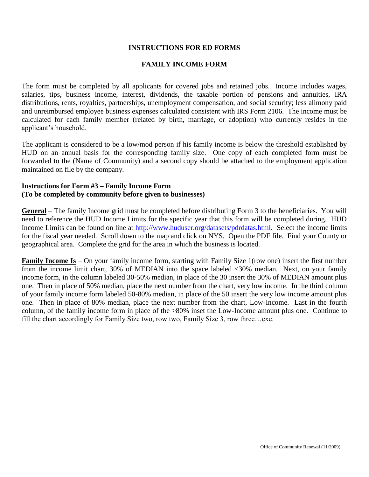## **INSTRUCTIONS FOR ED FORMS**

## **FAMILY INCOME FORM**

The form must be completed by all applicants for covered jobs and retained jobs. Income includes wages, salaries, tips, business income, interest, dividends, the taxable portion of pensions and annuities, IRA distributions, rents, royalties, partnerships, unemployment compensation, and social security; less alimony paid and unreimbursed employee business expenses calculated consistent with IRS Form 2106. The income must be calculated for each family member (related by birth, marriage, or adoption) who currently resides in the applicant's household.

The applicant is considered to be a low/mod person if his family income is below the threshold established by HUD on an annual basis for the corresponding family size. One copy of each completed form must be forwarded to the (Name of Community) and a second copy should be attached to the employment application maintained on file by the company.

## **Instructions for Form #3 – Family Income Form (To be completed by community before given to businesses)**

**General** – The family Income grid must be completed before distributing Form 3 to the beneficiaries. You will need to reference the HUD Income Limits for the specific year that this form will be completed during. HUD Income Limits can be found on line at [http://www.huduser.org/datasets/pdrdatas.html.](http://www.huduser.org/datasets/pdrdatas.html) Select the income limits for the fiscal year needed. Scroll down to the map and click on NYS. Open the PDF file. Find your County or geographical area. Complete the grid for the area in which the business is located.

**Family Income Is** – On your family income form, starting with Family Size 1(row one) insert the first number from the income limit chart, 30% of MEDIAN into the space labeled <30% median. Next, on your family income form, in the column labeled 30-50% median, in place of the 30 insert the 30% of MEDIAN amount plus one. Then in place of 50% median, place the next number from the chart, very low income. In the third column of your family income form labeled 50-80% median, in place of the 50 insert the very low income amount plus one. Then in place of 80% median, place the next number from the chart, Low-Income. Last in the fourth column, of the family income form in place of the >80% inset the Low-Income amount plus one. Continue to fill the chart accordingly for Family Size two, row two, Family Size 3, row three…exe.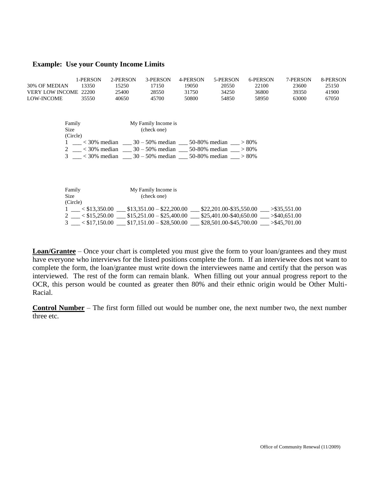#### **Example: Use your County Income Limits**

|                       | 1-PERSON       | 2-PERSON                                                           | 3-PERSON            | 4-PERSON | 5-PERSON | 6-PERSON                                                                                                                        | 7-PERSON | 8-PERSON |
|-----------------------|----------------|--------------------------------------------------------------------|---------------------|----------|----------|---------------------------------------------------------------------------------------------------------------------------------|----------|----------|
| 30% OF MEDIAN         | 13350          | 15250                                                              | 17150               | 19050    | 20550    | 22100                                                                                                                           | 23600    | 25150    |
| VERY LOW INCOME 22200 |                | 25400                                                              | 28550               | 31750    | 34250    | 36800                                                                                                                           | 39350    | 41900    |
| LOW-INCOME            | 35550          | 40650                                                              | 45700               | 50800    | 54850    | 58950                                                                                                                           | 63000    | 67050    |
|                       | Family         |                                                                    | My Family Income is |          |          |                                                                                                                                 |          |          |
| Size                  |                |                                                                    | (check one)         |          |          |                                                                                                                                 |          |          |
|                       | (Circle)       |                                                                    |                     |          |          |                                                                                                                                 |          |          |
|                       |                | 1 ___ < 30% median ___ 30 - 50% median ___ 50-80% median ___ > 80% |                     |          |          |                                                                                                                                 |          |          |
|                       |                | 2 ___ < 30% median ___ 30 - 50% median ___ 50-80% median ___ > 80% |                     |          |          |                                                                                                                                 |          |          |
|                       |                | 3 < 30% median 30 - 50% median 50-80% median > 80%                 |                     |          |          |                                                                                                                                 |          |          |
|                       |                |                                                                    |                     |          |          |                                                                                                                                 |          |          |
|                       |                |                                                                    |                     |          |          |                                                                                                                                 |          |          |
|                       |                |                                                                    |                     |          |          |                                                                                                                                 |          |          |
|                       | Family<br>Size |                                                                    | My Family Income is |          |          |                                                                                                                                 |          |          |
|                       | (Circle)       |                                                                    | (check one)         |          |          |                                                                                                                                 |          |          |
|                       |                |                                                                    |                     |          |          | $1 \leq $13,350.00 \leq $13,351.00 - $22,200.00 \leq $22,201.00 - $35,550.00 > $35,551.00$                                      |          |          |
|                       |                |                                                                    |                     |          |          | $2 \leq $15,250.00 \leq $15,251.00 - $25,400.00 \leq $25,401.00 - $40,650.00 \leq $40,651.00$                                   |          |          |
|                       |                |                                                                    |                     |          |          |                                                                                                                                 |          |          |
|                       |                |                                                                    |                     |          |          | $3 \_\_\_\&$ $\leq$ \$17,150.00 $\_\_\_\&$ \$17,151.00 - \$28,500.00 $\_\_\_\&$ \$28,501.00-\$45,700.00 $\_\_\_\&$ >\$45,701.00 |          |          |

**Loan/Grantee** – Once your chart is completed you must give the form to your loan/grantees and they must have everyone who interviews for the listed positions complete the form. If an interviewee does not want to complete the form, the loan/grantee must write down the interviewees name and certify that the person was interviewed. The rest of the form can remain blank. When filling out your annual progress report to the OCR, this person would be counted as greater then 80% and their ethnic origin would be Other Multi-Racial.

**Control Number** – The first form filled out would be number one, the next number two, the next number three etc.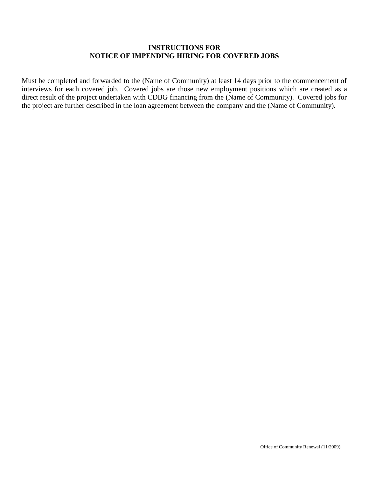# **INSTRUCTIONS FOR NOTICE OF IMPENDING HIRING FOR COVERED JOBS**

Must be completed and forwarded to the (Name of Community) at least 14 days prior to the commencement of interviews for each covered job. Covered jobs are those new employment positions which are created as a direct result of the project undertaken with CDBG financing from the (Name of Community). Covered jobs for the project are further described in the loan agreement between the company and the (Name of Community).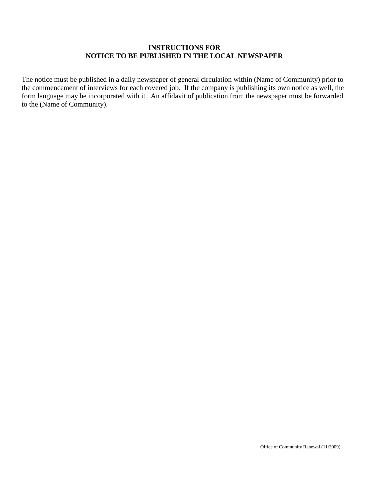# **INSTRUCTIONS FOR NOTICE TO BE PUBLISHED IN THE LOCAL NEWSPAPER**

The notice must be published in a daily newspaper of general circulation within (Name of Community) prior to the commencement of interviews for each covered job. If the company is publishing its own notice as well, the form language may be incorporated with it. An affidavit of publication from the newspaper must be forwarded to the (Name of Community).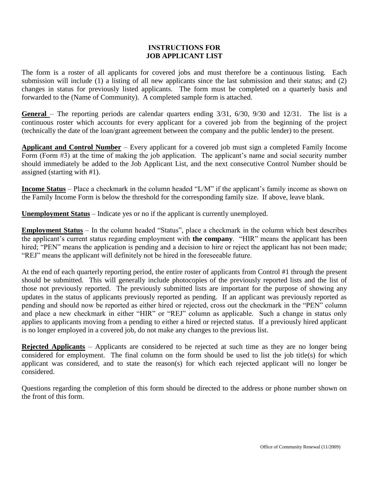## **INSTRUCTIONS FOR JOB APPLICANT LIST**

The form is a roster of all applicants for covered jobs and must therefore be a continuous listing. Each submission will include (1) a listing of all new applicants since the last submission and their status; and (2) changes in status for previously listed applicants. The form must be completed on a quarterly basis and forwarded to the (Name of Community). A completed sample form is attached.

**General** – The reporting periods are calendar quarters ending 3/31, 6/30, 9/30 and 12/31. The list is a continuous roster which accounts for every applicant for a covered job from the beginning of the project (technically the date of the loan/grant agreement between the company and the public lender) to the present.

**Applicant and Control Number** – Every applicant for a covered job must sign a completed Family Income Form (Form #3) at the time of making the job application. The applicant's name and social security number should immediately be added to the Job Applicant List, and the next consecutive Control Number should be assigned (starting with #1).

**Income Status** – Place a checkmark in the column headed "L/M" if the applicant's family income as shown on the Family Income Form is below the threshold for the corresponding family size. If above, leave blank.

**Unemployment Status** – Indicate yes or no if the applicant is currently unemployed.

**Employment Status** – In the column headed "Status", place a checkmark in the column which best describes the applicant's current status regarding employment with **the company**. "HIR" means the applicant has been hired; "PEN" means the application is pending and a decision to hire or reject the applicant has not been made; "REJ" means the applicant will definitely not be hired in the foreseeable future.

At the end of each quarterly reporting period, the entire roster of applicants from Control #1 through the present should be submitted. This will generally include photocopies of the previously reported lists and the list of those not previously reported. The previously submitted lists are important for the purpose of showing any updates in the status of applicants previously reported as pending. If an applicant was previously reported as pending and should now be reported as either hired or rejected, cross out the checkmark in the "PEN" column and place a new checkmark in either "HIR" or "REJ" column as applicable. Such a change in status only applies to applicants moving from a pending to either a hired or rejected status. If a previously hired applicant is no longer employed in a covered job, do not make any changes to the previous list.

**Rejected Applicants** – Applicants are considered to be rejected at such time as they are no longer being considered for employment. The final column on the form should be used to list the job title(s) for which applicant was considered, and to state the reason(s) for which each rejected applicant will no longer be considered.

Questions regarding the completion of this form should be directed to the address or phone number shown on the front of this form.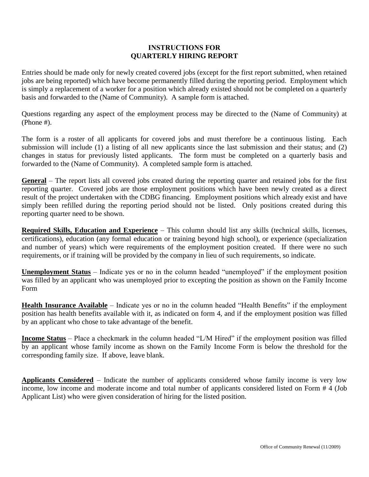## **INSTRUCTIONS FOR QUARTERLY HIRING REPORT**

Entries should be made only for newly created covered jobs (except for the first report submitted, when retained jobs are being reported) which have become permanently filled during the reporting period. Employment which is simply a replacement of a worker for a position which already existed should not be completed on a quarterly basis and forwarded to the (Name of Community). A sample form is attached.

Questions regarding any aspect of the employment process may be directed to the (Name of Community) at (Phone #).

The form is a roster of all applicants for covered jobs and must therefore be a continuous listing. Each submission will include (1) a listing of all new applicants since the last submission and their status; and (2) changes in status for previously listed applicants. The form must be completed on a quarterly basis and forwarded to the (Name of Community). A completed sample form is attached.

**General** – The report lists all covered jobs created during the reporting quarter and retained jobs for the first reporting quarter. Covered jobs are those employment positions which have been newly created as a direct result of the project undertaken with the CDBG financing. Employment positions which already exist and have simply been refilled during the reporting period should not be listed. Only positions created during this reporting quarter need to be shown.

**Required Skills, Education and Experience** – This column should list any skills (technical skills, licenses, certifications), education (any formal education or training beyond high school), or experience (specialization and number of years) which were requirements of the employment position created. If there were no such requirements, or if training will be provided by the company in lieu of such requirements, so indicate.

**Unemployment Status** – Indicate yes or no in the column headed "unemployed" if the employment position was filled by an applicant who was unemployed prior to excepting the position as shown on the Family Income Form

**Health Insurance Available** – Indicate yes or no in the column headed "Health Benefits" if the employment position has health benefits available with it, as indicated on form 4, and if the employment position was filled by an applicant who chose to take advantage of the benefit.

**Income Status** – Place a checkmark in the column headed "L/M Hired" if the employment position was filled by an applicant whose family income as shown on the Family Income Form is below the threshold for the corresponding family size. If above, leave blank.

**Applicants Considered** – Indicate the number of applicants considered whose family income is very low income, low income and moderate income and total number of applicants considered listed on Form # 4 (Job Applicant List) who were given consideration of hiring for the listed position.